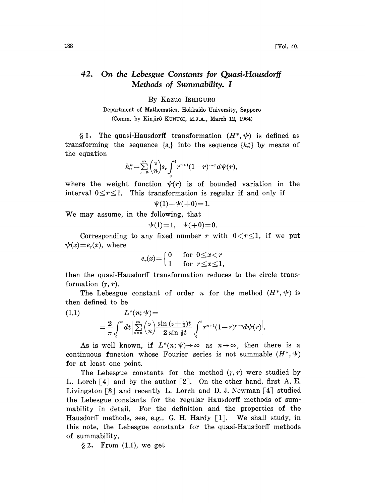## 42. On the Lebesgue Constants for Quasi.Hausdorff Methods of Summability. <sup>I</sup>

By Kazuo ISHIGURO

Department of Mathematics, Hokkaido University, Sapporo (Comm. by Kinjir6 KUNUGI, M.J.A., March 12, 1964)

§ 1. The quasi-Hausdorff transformation  $(H^*,\psi)$  is defined as transforming the sequence  $\{s_n\}$  into the sequence  $\{h_n^*\}\$  by means of the equation

$$
h_n^*=\sum_{\nu=n}^\infty\binom{\nu}{n}s_\nu\int_0^1\!r^{n+1}(1-r)^{\nu-n}d\psi(r),
$$

where the weight function  $\psi(r)$  is of bounded variation in the interval  $0 \le r \le 1$ . This transformation is regular if and only if

$$
\psi(1) - \psi(+0) = 1.
$$

We may assume, in the following, that

$$
\psi(1)=1, \quad \psi(+0)=0.
$$

Corresponding to any fixed number r with  $0 < r \leq 1$ , if we put  $\psi(x)=e_{r}(x)$ , where

$$
e_r(x) = \begin{cases} 0 & \text{for } 0 \leq x < r \\ 1 & \text{for } r \leq x \leq 1, \end{cases}
$$

then the quasi-Hausdorff transformation reduces to the circle transformation  $(\gamma, r)$ .

The Lebesgue constant of order *n* for the method  $(H^*, \psi)$  is then defined to be

(1.1) 
$$
L^*(n; \psi) =
$$

$$
= \frac{2}{\pi} \int_0^{\pi} dt \Big| \sum_{\nu=n}^{\infty} {\nu \choose \nu} \frac{\sin (\nu + \frac{1}{2})t}{2 \sin \frac{1}{2}t} \int_0^1 r^{n+1} (1-r)^{\nu-n} d\psi(r) \Big|.
$$

As is well known, if  $L^*(n; \psi) \rightarrow \infty$  as  $n \rightarrow \infty$ , then there is a continuous function whose Fourier series is not summable  $(H^*,\psi)$ for at least one point.

The Lebesgue constants for the method  $(r, r)$  were studied by L. Lorch  $\lceil 4 \rceil$  and by the author  $\lceil 2 \rceil$ . On the other hand, first A. E. Livingston  $\lceil 3 \rceil$  and recently L. Lorch and D. J. Newman  $\lceil 4 \rceil$  studied the Lebesgue constants for the regular Hausdorff methods of summability in detail. For the definition and the properties of the Hausdorff methods, see, e.g., G. H. Hardy  $[1]$ . We shall study, in this note, the Lebesgue constants for the quasi-Hausdorff methods of summability.

 $\S 2$ . From  $(1.1)$ , we get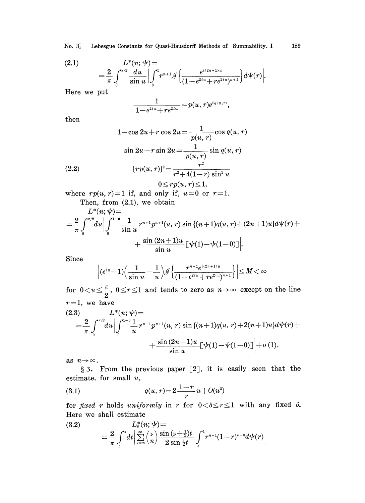(2.1) 
$$
L^*(n; \psi) =
$$
  
=  $\frac{2}{\pi} \int_0^{\pi/2} \frac{du}{\sin u} \Big| \int_0^1 r^{n+1} \mathcal{J} \Big\{ \frac{e^{i(2n+1)u}}{(1 - e^{2iu} + re^{2iu})^{n+1}} \Big\} d\psi(r) \Big|.$ 

Here we put

$$
\frac{1}{1-e^{2iu}+re^{2iu}}=p(u,r)e^{i q(u,r)},
$$

then

(2.2)  
\n
$$
1-\cos 2u + r \cos 2u = \frac{1}{p(u, r)} \cos q(u, r)
$$
\n
$$
\sin 2u - r \sin 2u = \frac{1}{p(u, r)} \sin q(u, r)
$$
\n
$$
\{rp(u, r)\}^{2} = \frac{r^{2}}{r^{2} + 4(1 - r) \sin^{2} u}
$$
\n
$$
0 \leq rp(u, r) \leq 1,
$$

where  $rp(u, r)=1$  if, and only if,  $u=0$  or  $r=1$ . Then, from (2.1), we obtain

$$
L^*(n; \psi) =
$$
  
=  $\frac{2}{\pi} \int_0^{\pi/2} du \Big| \int_0^{1-0} \frac{1}{\sin u} r^{n+1} p^{n+1} (u, r) \sin \{(n+1)q(u,r)+(2n+1)u\} d\psi(r) +$   
+  $\frac{\sin (2n+1)u}{\sin u} [\psi(1)-\psi(1-0)] \Big|.$ 

Since

$$
\Big | (e^{iu}\!-\!1) \!\Big(\frac{1}{\sin u}-\!\frac{1}{u}\Big) \mathcal{J}\Big\{\frac{r^{n+1}e^{i(2n+1)u}}{(1\!-\!e^{2iu}\!+\!r e^{2iu})^{n+1}}\Big\}\Big|\!\leq\! M\!<\!\infty
$$

for  $0 < u \leq \frac{\pi}{2}$ ,  $0 \leq r \leq 1$  and tends to zero as  $n \to \infty$  except on the line  $r=1$ , we have

$$
(2.3) \qquad L^*(n; \psi) = \\ = \frac{2}{\pi} \int_0^{\pi/2} du \Big| \int_0^{1-0} \frac{1}{u} r^{n+1} p^{n+1} (u, r) \sin \left\{ (n+1) q(u, r) + 2(n+1) u \right\} d\psi(r) + \\ + \frac{\sin (2n+1) u}{\sin u} \Big[ \psi(1) - \psi(1-0) \Big] \Big| + o(1).
$$

as  $n \rightarrow \infty$ .

§ 3. From the previous paper [2], it is easily seen that the estimate, for small  $u$ ,

(3.1) 
$$
q(u,r)=2\frac{1-r}{r}u+O(u^3)
$$

for fixed r holds uniformly in r for  $0 < \delta \le r \le 1$  with any fixed  $\delta$ . Here we shall estimate

(3.2) 
$$
L_s^*(n; \psi) = \\ = \frac{2}{\pi} \int_0^{\pi} dt \Big| \sum_{\nu=n}^{\infty} {\nu \choose n} \frac{\sin (\nu + \frac{1}{2}) t}{2 \sin \frac{1}{2} t} \int_s^1 r^{n+1} (1-r)^{\nu-n} d\psi(r) \Big|
$$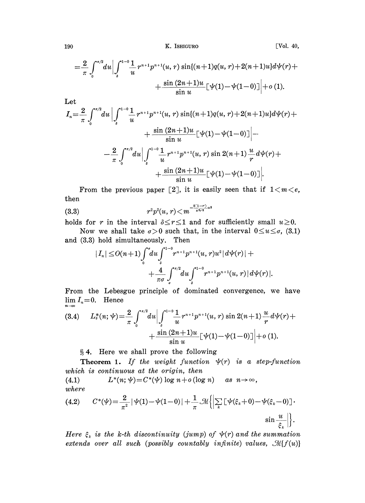K. ISHIGURO

$$
=\frac{2}{\pi}\int_{0}^{\pi/2}du\Big|\int_{s}^{1-0}\frac{1}{u}r^{n+1}p^{n+1}(u,r)\sin\{(n+1)q(u,r)+2(n+1)u\}d\psi(r)++\frac{\sin{(2n+1)u}}{\sin{u}}\Big[\psi(1)-\psi(1-0)\Big]\Big|+o(1).
$$

Let

$$
I_n = \frac{2}{\pi} \int_0^{\pi/2} du \Big| \int_s^{1-0} \frac{1}{u} r^{n+1} p^{n+1} (u, r) \sin[(n+1)q(u, r) + 2(n+1)u] d\psi(r) +
$$
  
+ 
$$
\frac{\sin (2n+1)u}{\sin u} [\psi(1) - \psi(1-0)] \Big| -
$$
  
- 
$$
\frac{2}{\pi} \int_0^{\pi/2} du \Big| \int_s^{1-0} \frac{1}{u} r^{n+1} p^{n+1} (u, r) \sin 2(n+1) \frac{u}{r} d\psi(r) +
$$
  
+ 
$$
\frac{\sin (2n+1)u}{\sin u} [\psi(1) - \psi(1-0)] \Big|.
$$

From the previous paper [2], it is easily seen that if  $1 < m < e$ , then

$$
(3.3) \t\t\t\t r^2p^2(u,r) \!<\! m^{-\frac{8(1-r)}{\pi^2r^2}u^2}
$$

holds for r in the interval  $\delta \leq r \leq 1$  and for sufficiently small  $u \geq 0$ .

Now we shall take  $\sigma > 0$  such that, in the interval  $0 \le u \le \sigma$ , (3.1) and (3.3) hold simultaneously. Then

$$
|I_n| \le O(n+1) \int_0^{\sigma} du \int_{\delta}^{1-\sigma} r^{n+1} p^{n+1} (u, r) u^2 |d \psi(r)| +
$$
  
+ 
$$
\frac{4}{\pi \sigma} \int_{\sigma}^{\pi/2} du \int_{\delta}^{1-\sigma} r^{n+1} p^{n+1} (u, r) |d \psi(r)|.
$$

From the Lebesgue principle of dominated convergence, we have  $\lim I_n = 0$ . Hence  $n\rightarrow\infty$ 

$$
(3.4) \qquad L_s^*(n; \psi) = \frac{2}{\pi} \int_0^{\pi/2} du \Big| \int_s^{1-0} \frac{1}{u} r^{n+1} p^{n+1} (u, r) \sin 2(n+1) \frac{u}{r} d\psi(r) + \\ + \frac{\sin (2n+1) u}{\sin u} \Big[ \psi(1) - \psi(1-0) \Big] \Big| + o(1).
$$

§4. Here we shall prove the following

**Theorem 1.** If the weight function  $\psi(r)$  is a step-function which is continuous at the origin, then

 $L^*(n; \psi) = C^*(\psi) \log n + o(\log n)$  as  $n \to \infty$ ,  $(4.1)$  $where$ 

$$
(4.2) \qquad C^*(\psi) = \frac{2}{\pi^2} |\psi(1) - \psi(1-0)| + \frac{1}{\pi} \mathcal{M} \left\{ \left| \sum_k \left[ \psi(\xi_k + 0) - \psi(\xi_k - 0) \right] \right. \cdot \sin \frac{u}{\xi_k} \right| \right\}.
$$

Here  $\xi_k$  is the k-th discontinuity (jump) of  $\psi(r)$  and the summation extends over all such (possibly countably infinite) values,  $\mathcal{M}{f(u)}$ 

190